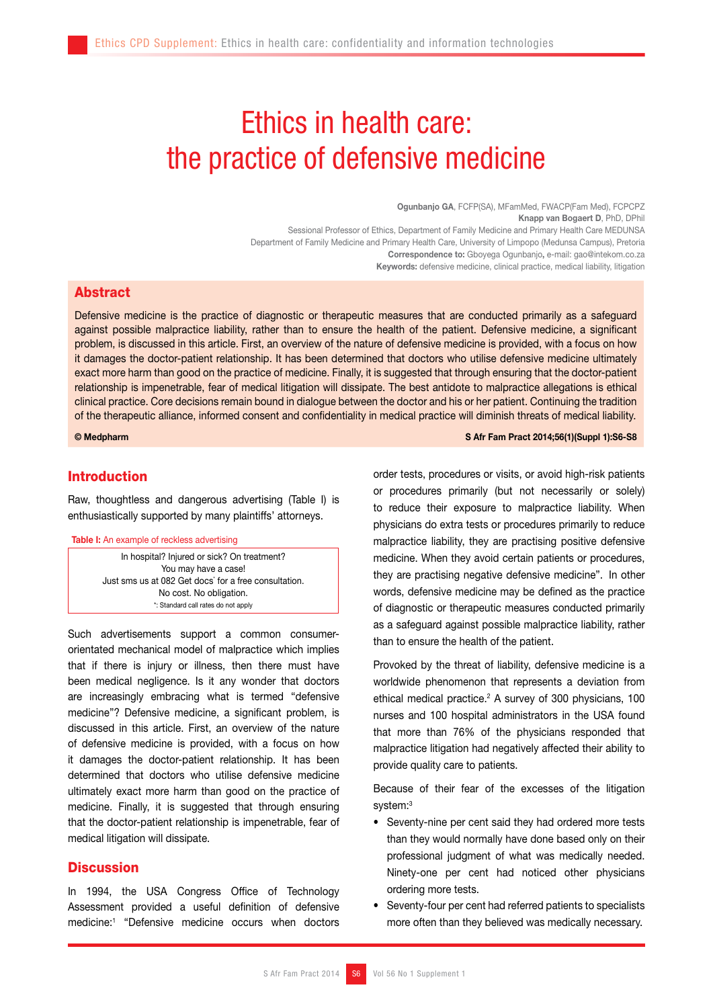# Ethics in health care: the practice of defensive medicine

Ogunbanjo GA, FCFP(SA), MFamMed, FWACP(Fam Med), FCPCPZ Knapp van Bogaert D, PhD, DPhil Sessional Professor of Ethics, Department of Family Medicine and Primary Health Care MEDUNSA Department of Family Medicine and Primary Health Care, University of Limpopo (Medunsa Campus), Pretoria Correspondence to: Gboyega Ogunbanjo, e-mail: gao@intekom.co.za Keywords: defensive medicine, clinical practice, medical liability, litigation

## Abstract

Defensive medicine is the practice of diagnostic or therapeutic measures that are conducted primarily as a safeguard against possible malpractice liability, rather than to ensure the health of the patient. Defensive medicine, a significant problem, is discussed in this article. First, an overview of the nature of defensive medicine is provided, with a focus on how it damages the doctor-patient relationship. It has been determined that doctors who utilise defensive medicine ultimately exact more harm than good on the practice of medicine. Finally, it is suggested that through ensuring that the doctor-patient relationship is impenetrable, fear of medical litigation will dissipate. The best antidote to malpractice allegations is ethical clinical practice. Core decisions remain bound in dialogue between the doctor and his or her patient. Continuing the tradition of the therapeutic alliance, informed consent and confidentiality in medical practice will diminish threats of medical liability.

### © Medpharm S Afr Fam Pract 2014;56(1)(Suppl 1):S6-S8

## Introduction

Raw, thoughtless and dangerous advertising (Table I) is enthusiastically supported by many plaintiffs' attorneys.

#### Table I: An example of reckless advertising

In hospital? Injured or sick? On treatment? You may have a case! Just sms us at 082 Get docs` for a free consultation. No cost. No obligation. \*: Standard call rates do not apply

Such advertisements support a common consumerorientated mechanical model of malpractice which implies that if there is injury or illness, then there must have been medical negligence. Is it any wonder that doctors are increasingly embracing what is termed "defensive medicine"? Defensive medicine, a significant problem, is discussed in this article. First, an overview of the nature of defensive medicine is provided, with a focus on how it damages the doctor-patient relationship. It has been determined that doctors who utilise defensive medicine ultimately exact more harm than good on the practice of medicine. Finally, it is suggested that through ensuring that the doctor-patient relationship is impenetrable, fear of medical litigation will dissipate.

## **Discussion**

In 1994, the USA Congress Office of Technology Assessment provided a useful definition of defensive medicine:1 "Defensive medicine occurs when doctors order tests, procedures or visits, or avoid high-risk patients or procedures primarily (but not necessarily or solely) to reduce their exposure to malpractice liability. When physicians do extra tests or procedures primarily to reduce malpractice liability, they are practising positive defensive medicine. When they avoid certain patients or procedures, they are practising negative defensive medicine". In other words, defensive medicine may be defined as the practice of diagnostic or therapeutic measures conducted primarily as a safeguard against possible malpractice liability, rather than to ensure the health of the patient.

Provoked by the threat of liability, defensive medicine is a worldwide phenomenon that represents a deviation from ethical medical practice.<sup>2</sup> A survey of 300 physicians, 100 nurses and 100 hospital administrators in the USA found that more than 76% of the physicians responded that malpractice litigation had negatively affected their ability to provide quality care to patients.

Because of their fear of the excesses of the litigation system:<sup>3</sup>

- Seventy-nine per cent said they had ordered more tests than they would normally have done based only on their professional judgment of what was medically needed. Ninety-one per cent had noticed other physicians ordering more tests.
- Seventy-four per cent had referred patients to specialists more often than they believed was medically necessary.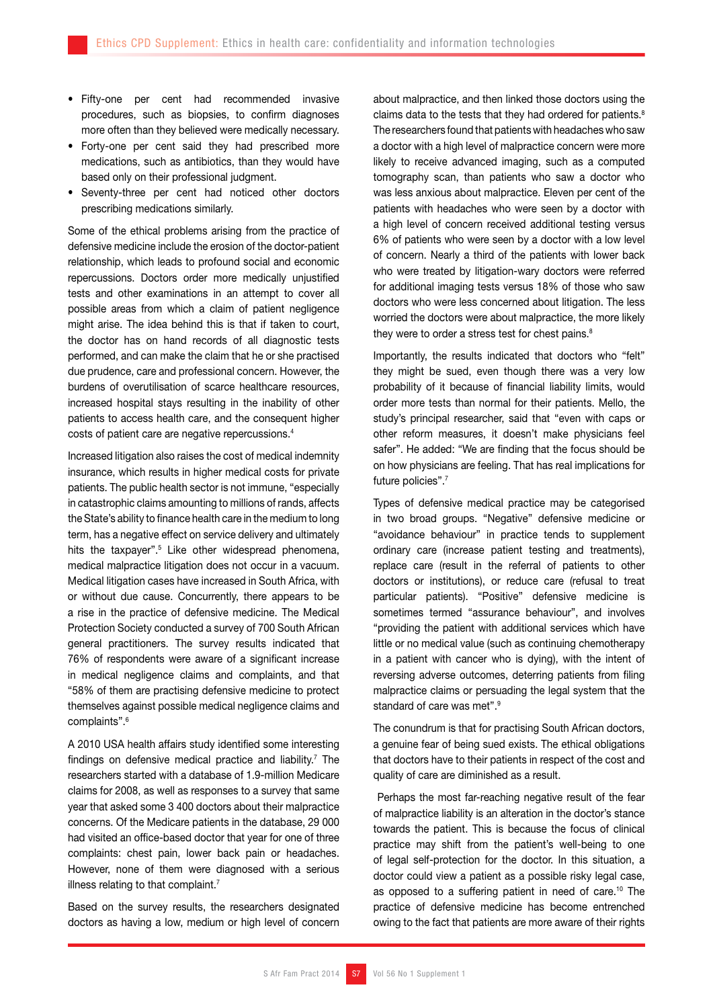- • Fifty-one per cent had recommended invasive procedures, such as biopsies, to confirm diagnoses more often than they believed were medically necessary.
- Forty-one per cent said they had prescribed more medications, such as antibiotics, than they would have based only on their professional judgment.
- • Seventy-three per cent had noticed other doctors prescribing medications similarly.

Some of the ethical problems arising from the practice of defensive medicine include the erosion of the doctor-patient relationship, which leads to profound social and economic repercussions. Doctors order more medically unjustified tests and other examinations in an attempt to cover all possible areas from which a claim of patient negligence might arise. The idea behind this is that if taken to court, the doctor has on hand records of all diagnostic tests performed, and can make the claim that he or she practised due prudence, care and professional concern. However, the burdens of overutilisation of scarce healthcare resources, increased hospital stays resulting in the inability of other patients to access health care, and the consequent higher costs of patient care are negative repercussions.4

Increased litigation also raises the cost of medical indemnity insurance, which results in higher medical costs for private patients. The public health sector is not immune, "especially in catastrophic claims amounting to millions of rands, affects the State's ability to finance health care in the medium to long term, has a negative effect on service delivery and ultimately hits the taxpayer".<sup>5</sup> Like other widespread phenomena, medical malpractice litigation does not occur in a vacuum. Medical litigation cases have increased in South Africa, with or without due cause. Concurrently, there appears to be a rise in the practice of defensive medicine. The Medical Protection Society conducted a survey of 700 South African general practitioners. The survey results indicated that 76% of respondents were aware of a significant increase in medical negligence claims and complaints, and that "58% of them are practising defensive medicine to protect themselves against possible medical negligence claims and complaints".6

A 2010 USA health affairs study identified some interesting findings on defensive medical practice and liability.<sup>7</sup> The researchers started with a database of 1.9-million Medicare claims for 2008, as well as responses to a survey that same year that asked some 3 400 doctors about their malpractice concerns. Of the Medicare patients in the database, 29 000 had visited an office-based doctor that year for one of three complaints: chest pain, lower back pain or headaches. However, none of them were diagnosed with a serious illness relating to that complaint.<sup>7</sup>

Based on the survey results, the researchers designated doctors as having a low, medium or high level of concern about malpractice, and then linked those doctors using the claims data to the tests that they had ordered for patients.<sup>8</sup> The researchers found that patients with headaches who saw a doctor with a high level of malpractice concern were more likely to receive advanced imaging, such as a computed tomography scan, than patients who saw a doctor who was less anxious about malpractice. Eleven per cent of the patients with headaches who were seen by a doctor with a high level of concern received additional testing versus 6% of patients who were seen by a doctor with a low level of concern. Nearly a third of the patients with lower back who were treated by litigation-wary doctors were referred for additional imaging tests versus 18% of those who saw doctors who were less concerned about litigation. The less worried the doctors were about malpractice, the more likely they were to order a stress test for chest pains.<sup>8</sup>

Importantly, the results indicated that doctors who "felt" they might be sued, even though there was a very low probability of it because of financial liability limits, would order more tests than normal for their patients. Mello, the study's principal researcher, said that "even with caps or other reform measures, it doesn't make physicians feel safer". He added: "We are finding that the focus should be on how physicians are feeling. That has real implications for future policies".<sup>7</sup>

Types of defensive medical practice may be categorised in two broad groups. "Negative" defensive medicine or "avoidance behaviour" in practice tends to supplement ordinary care (increase patient testing and treatments), replace care (result in the referral of patients to other doctors or institutions), or reduce care (refusal to treat particular patients). "Positive" defensive medicine is sometimes termed "assurance behaviour", and involves "providing the patient with additional services which have little or no medical value (such as continuing chemotherapy in a patient with cancer who is dying), with the intent of reversing adverse outcomes, deterring patients from filing malpractice claims or persuading the legal system that the standard of care was met".<sup>9</sup>

The conundrum is that for practising South African doctors, a genuine fear of being sued exists. The ethical obligations that doctors have to their patients in respect of the cost and quality of care are diminished as a result.

 Perhaps the most far-reaching negative result of the fear of malpractice liability is an alteration in the doctor's stance towards the patient. This is because the focus of clinical practice may shift from the patient's well-being to one of legal self-protection for the doctor. In this situation, a doctor could view a patient as a possible risky legal case, as opposed to a suffering patient in need of care.<sup>10</sup> The practice of defensive medicine has become entrenched owing to the fact that patients are more aware of their rights